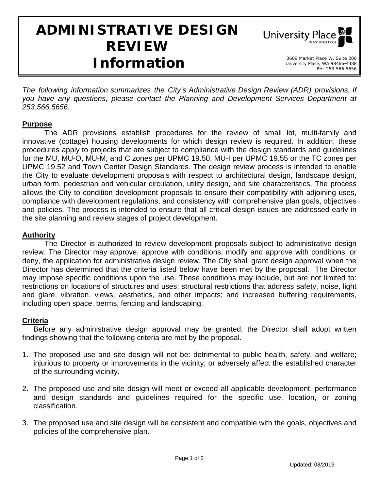# **ADMINISTRATIVE DESIGN REVIEW**  *Information* 3609 Market Place W, Suite 200



*The following information summarizes the City's Administrative Design Review (ADR) provisions. If you have any questions, please contact the Planning and Development Services Department at 253.566.5656.* 

## **Purpose**

The ADR provisions establish procedures for the review of small lot, multi-family and innovative (cottage) housing developments for which design review is required. In addition, these procedures apply to projects that are subject to compliance with the design standards and guidelines for the MU, MU-O, MU-M, and C zones per UPMC 19.50, MU-I per UPMC 19.55 or the TC zones per UPMC 19.52 and Town Center Design Standards. The design review process is intended to enable the City to evaluate development proposals with respect to architectural design, landscape design, urban form, pedestrian and vehicular circulation, utility design, and site characteristics. The process allows the City to condition development proposals to ensure their compatibility with adjoining uses, compliance with development regulations, and consistency with comprehensive plan goals, objectives and policies. The process is intended to ensure that all critical design issues are addressed early in the site planning and review stages of project development.

## **Authority**

The Director is authorized to review development proposals subject to administrative design review. The Director may approve, approve with conditions, modify and approve with conditions, or deny, the application for administrative design review. The City shall grant design approval when the Director has determined that the criteria listed below have been met by the proposal. The Director may impose specific conditions upon the use. These conditions may include, but are not limited to: restrictions on locations of structures and uses; structural restrictions that address safety, noise, light and glare, vibration, views, aesthetics, and other impacts; and increased buffering requirements, including open space, berms, fencing and landscaping.

## **Criteria**

Before any administrative design approval may be granted, the Director shall adopt written findings showing that the following criteria are met by the proposal.

- 1. The proposed use and site design will not be: detrimental to public health, safety, and welfare; injurious to property or improvements in the vicinity; or adversely affect the established character of the surrounding vicinity.
- 2. The proposed use and site design will meet or exceed all applicable development, performance and design standards and guidelines required for the specific use, location, or zoning classification.
- 3. The proposed use and site design will be consistent and compatible with the goals, objectives and policies of the comprehensive plan.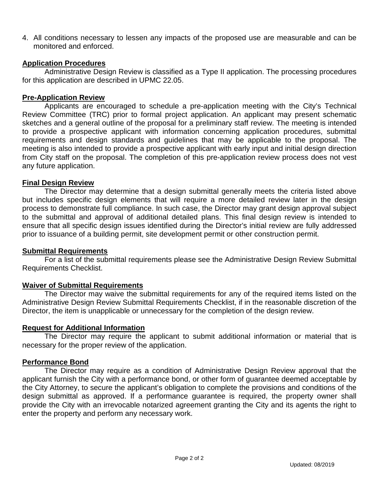4. All conditions necessary to lessen any impacts of the proposed use are measurable and can be monitored and enforced.

## **Application Procedures**

Administrative Design Review is classified as a Type II application. The processing procedures for this application are described in UPMC 22.05.

## **Pre-Application Review**

Applicants are encouraged to schedule a pre-application meeting with the City's Technical Review Committee (TRC) prior to formal project application. An applicant may present schematic sketches and a general outline of the proposal for a preliminary staff review. The meeting is intended to provide a prospective applicant with information concerning application procedures, submittal requirements and design standards and guidelines that may be applicable to the proposal. The meeting is also intended to provide a prospective applicant with early input and initial design direction from City staff on the proposal. The completion of this pre-application review process does not vest any future application.

#### **Final Design Review**

The Director may determine that a design submittal generally meets the criteria listed above but includes specific design elements that will require a more detailed review later in the design process to demonstrate full compliance. In such case, the Director may grant design approval subject to the submittal and approval of additional detailed plans. This final design review is intended to ensure that all specific design issues identified during the Director's initial review are fully addressed prior to issuance of a building permit, site development permit or other construction permit.

#### **Submittal Requirements**

For a list of the submittal requirements please see the Administrative Design Review Submittal Requirements Checklist.

## **Waiver of Submittal Requirements**

The Director may waive the submittal requirements for any of the required items listed on the Administrative Design Review Submittal Requirements Checklist, if in the reasonable discretion of the Director, the item is unapplicable or unnecessary for the completion of the design review.

#### **Request for Additional Information**

The Director may require the applicant to submit additional information or material that is necessary for the proper review of the application.

#### **Performance Bond**

The Director may require as a condition of Administrative Design Review approval that the applicant furnish the City with a performance bond, or other form of guarantee deemed acceptable by the City Attorney, to secure the applicant's obligation to complete the provisions and conditions of the design submittal as approved. If a performance guarantee is required, the property owner shall provide the City with an irrevocable notarized agreement granting the City and its agents the right to enter the property and perform any necessary work.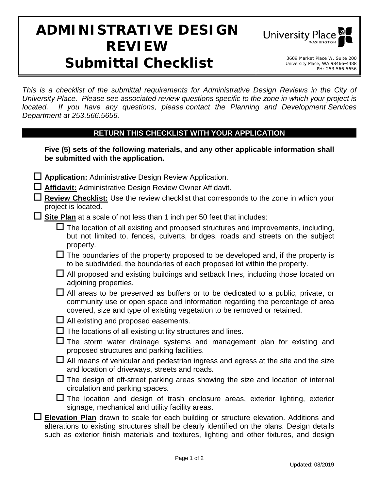# **ADMINISTRATIVE DESIGN REVIEW Submittal Checklist** Submarket Place W, Suite 200



*This is a checklist of the submittal requirements for Administrative Design Reviews in the City of University Place. Please see associated review questions specific to the zone in which your project is located. If you have any questions, please contact the Planning and Development Services Department at 253.566.5656.* 

## **RETURN THIS CHECKLIST WITH YOUR APPLICATION**

**Five (5) sets of the following materials, and any other applicable information shall be submitted with the application.**

- **Application:** Administrative Design Review Application.
- **Affidavit:** Administrative Design Review Owner Affidavit.
- **Review Checklist:** Use the review checklist that corresponds to the zone in which your project is located.
- **Site Plan** at a scale of not less than 1 inch per 50 feet that includes:
	- $\Box$  The location of all existing and proposed structures and improvements, including, but not limited to, fences, culverts, bridges, roads and streets on the subject property.
	- $\Box$  The boundaries of the property proposed to be developed and, if the property is to be subdivided, the boundaries of each proposed lot within the property.
	- $\Box$  All proposed and existing buildings and setback lines, including those located on adjoining properties.
	- $\Box$  All areas to be preserved as buffers or to be dedicated to a public, private, or community use or open space and information regarding the percentage of area covered, size and type of existing vegetation to be removed or retained.
	- $\Box$  All existing and proposed easements.
	- $\Box$  The locations of all existing utility structures and lines.
	- $\square$  The storm water drainage systems and management plan for existing and proposed structures and parking facilities.
	- $\Box$  All means of vehicular and pedestrian ingress and egress at the site and the size and location of driveways, streets and roads.
	- $\Box$  The design of off-street parking areas showing the size and location of internal circulation and parking spaces.
	- $\Box$  The location and design of trash enclosure areas, exterior lighting, exterior signage, mechanical and utility facility areas.
- **Elevation Plan** drawn to scale for each building or structure elevation. Additions and alterations to existing structures shall be clearly identified on the plans. Design details such as exterior finish materials and textures, lighting and other fixtures, and design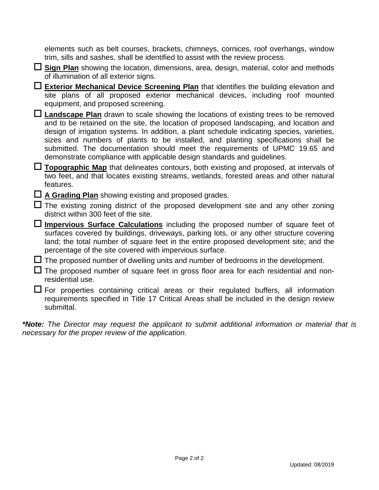elements such as belt courses, brackets, chimneys, cornices, roof overhangs, window trim, sills and sashes, shall be identified to assist with the review process.

 **Sign Plan** showing the location, dimensions, area, design, material, color and methods of illumination of all exterior signs.

 **Exterior Mechanical Device Screening Plan** that identifies the building elevation and site plans of all proposed exterior mechanical devices, including roof mounted equipment, and proposed screening.

 **Landscape Plan** drawn to scale showing the locations of existing trees to be removed and to be retained on the site, the location of proposed landscaping, and location and design of irrigation systems. In addition, a plant schedule indicating species, varieties, sizes and numbers of plants to be installed, and planting specifications shall be submitted. The documentation should meet the requirements of UPMC 19.65 and demonstrate compliance with applicable design standards and guidelines.

 **Topographic Map** that delineates contours, both existing and proposed, at intervals of two feet, and that locates existing streams, wetlands, forested areas and other natural features.

**A Grading Plan** showing existing and proposed grades.

 $\Box$  The existing zoning district of the proposed development site and any other zoning district within 300 feet of the site.

 **Impervious Surface Calculations** including the proposed number of square feet of surfaces covered by buildings, driveways, parking lots, or any other structure covering land; the total number of square feet in the entire proposed development site; and the percentage of the site covered with impervious surface.

 $\Box$  The proposed number of dwelling units and number of bedrooms in the development.

 $\Box$  The proposed number of square feet in gross floor area for each residential and nonresidential use.

 $\Box$  For properties containing critical areas or their regulated buffers, all information requirements specified in Title 17 Critical Areas shall be included in the design review submittal.

*\*Note: The Director may request the applicant to submit additional information or material that is necessary for the proper review of the application.*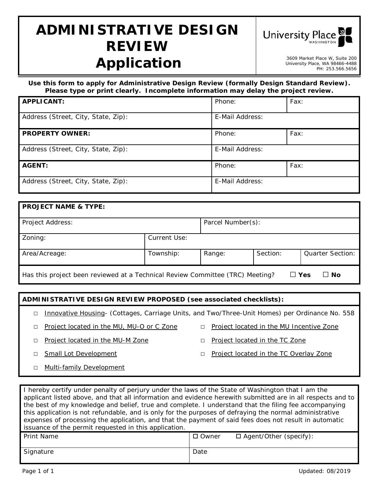# **ADMINISTRATIVE DESIGN REVIEW**  *Application* 3609 Market Place W, Suite 200



University Place, WA 98466-4488 PH: 253.566.5656

*Use this form to apply for Administrative Design Review (formally Design Standard Review). Please type or print clearly. Incomplete information may delay the project review.* 

| <b>APPLICANT:</b>                   | Phone:          | Fax: |
|-------------------------------------|-----------------|------|
| Address (Street, City, State, Zip): | E-Mail Address: |      |
| <b>PROPERTY OWNER:</b>              | Phone:          | Fax: |
| Address (Street, City, State, Zip): | E-Mail Address: |      |
| <b>AGENT:</b>                       | Phone:          | Fax: |
| Address (Street, City, State, Zip): | E-Mail Address: |      |

| <b>PROJECT NAME &amp; TYPE:</b>                                                                |              |                   |          |                         |  |
|------------------------------------------------------------------------------------------------|--------------|-------------------|----------|-------------------------|--|
| Project Address:                                                                               |              | Parcel Number(s): |          |                         |  |
| Zoning:                                                                                        | Current Use: |                   |          |                         |  |
| Area/Acreage:                                                                                  | Township:    | Range:            | Section: | <b>Quarter Section:</b> |  |
| ∐ Yes<br>Has this project been reviewed at a Technical Review Committee (TRC) Meeting?<br>∐ No |              |                   |          |                         |  |

#### **ADMINISTRATIVE DESIGN REVIEW PROPOSED (see associated checklists):**

- □ Innovative Housing- (Cottages, Carriage Units, and Two/Three-Unit Homes) per Ordinance No. 558
- □ Project located in the MU, MU-O or C Zone □ Project located in the MU Incentive Zone
- 
- □ Project located in the MU-M Zone □ □ Project located in the TC Zone
	-
- □ Small Lot Development □ □ Project located in the TC Overlay Zone
- □ Multi-family Development

I hereby certify under penalty of perjury under the laws of the State of Washington that I am the applicant listed above, and that all information and evidence herewith submitted are in all respects and to the best of my knowledge and belief, true and complete. I understand that the filing fee accompanying this application is not refundable, and is only for the purposes of defraying the normal administrative expenses of processing the application, and that the payment of said fees does not result in automatic issuance of the permit requested in this application. Print Name  $\Box$  Owner  $\Box$  Agent/Other (specify): Signature **Date Date Date Date**